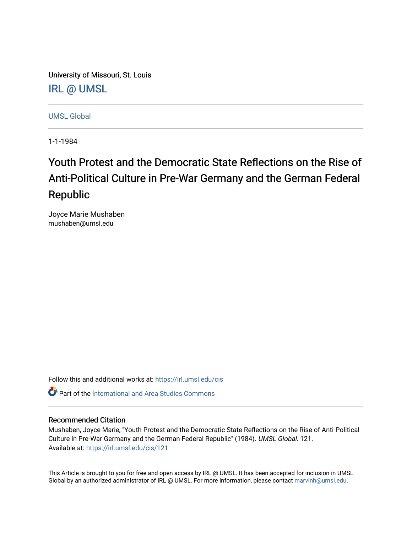University of Missouri, St. Louis [IRL @ UMSL](https://irl.umsl.edu/) 

[UMSL Global](https://irl.umsl.edu/cis)

1-1-1984

# Youth Protest and the Democratic State Reflections on the Rise of Anti-Political Culture in Pre-War Germany and the German Federal Republic

Joyce Marie Mushaben mushaben@umsl.edu

Follow this and additional works at: [https://irl.umsl.edu/cis](https://irl.umsl.edu/cis?utm_source=irl.umsl.edu%2Fcis%2F121&utm_medium=PDF&utm_campaign=PDFCoverPages) 

**C** Part of the International and Area Studies Commons

# Recommended Citation

Mushaben, Joyce Marie, "Youth Protest and the Democratic State Reflections on the Rise of Anti-Political Culture in Pre-War Germany and the German Federal Republic" (1984). UMSL Global. 121. Available at: [https://irl.umsl.edu/cis/121](https://irl.umsl.edu/cis/121?utm_source=irl.umsl.edu%2Fcis%2F121&utm_medium=PDF&utm_campaign=PDFCoverPages)

This Article is brought to you for free and open access by IRL @ UMSL. It has been accepted for inclusion in UMSL Global by an authorized administrator of IRL @ UMSL. For more information, please contact [marvinh@umsl.edu](mailto:marvinh@umsl.edu).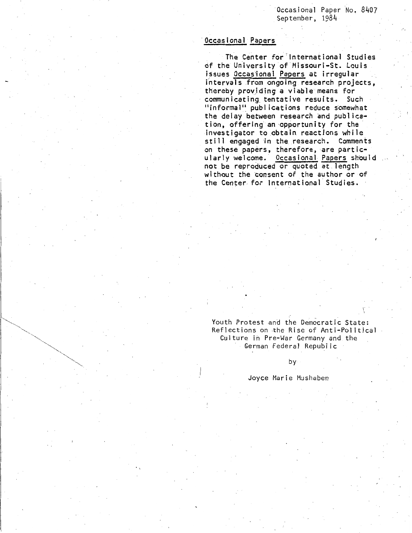Occasional Paper No. 8407 September, 1984

## Occasional Papers

The Center for"lnternational Studies of the University of-Missouri-St. Louis issues Occasional Papers at irregular intervals from ongoing research projects, thereby providing a viable means for communicating tentative results. Such  $"informal"$  publications reduce somewhat the delay between research and publication, offering an opportunity for the investigator to obtain reactions while still engaged in the.research. Comments on these papers, therefore, are particularly welcome. Occasional Papers should not be reproduced or quoted at length without the consent of the author or of the Center for International Studies.

Youth Protest and the Democratic State: Reflections on the Rise of Anti-Political Culture in Pre-War Germany and the German Federal Republic

1·  $\overline{\phantom{a}}$ 

by

Joyce Marie Mushaben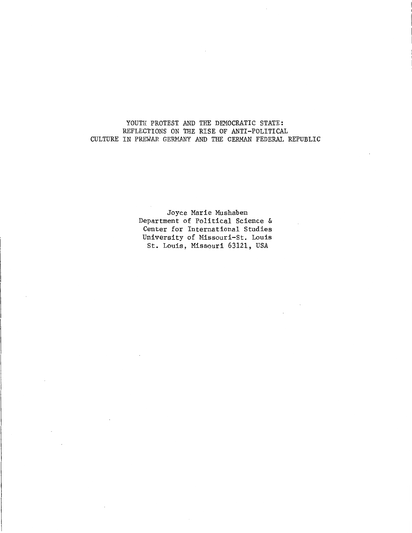## YOUTH PROTEST AND THE DEMOCRATIC STATE: REFLECTIONS ON THE RISE OF ANTI-POLITICAL CULTURE IN PREWAR GERMANY AND THE GERMAN FEDERAL REPUBLIC

Joyce Marie Mushaben Department of Political Science & Center for International Studies University of Missouri-St. Louis St. Louis, Missouri 63121, USA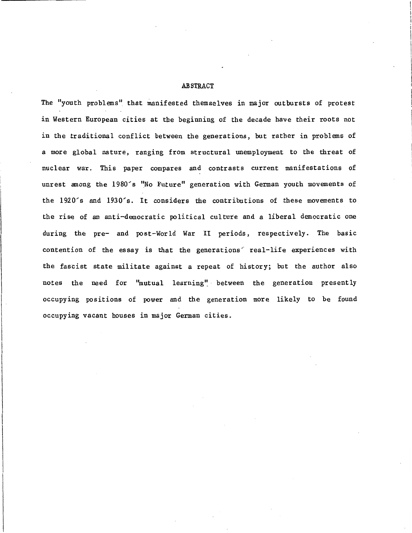## ABSTRACT

The "youth problems" that manifested themselves in major outbursts of protest in Western European cities at the beginning of the decade have their roots not in the traditional conflict between the generations, but rather in problems of a more global nature, ranging from structural unemployment to the threat of nuclear war. This paper compares and contrasts current manifestations of unrest among the 1980's "No Future" generation with German youth movements of the 1920's and 1930's. It considers the contributions of these movements to the rise of an anti-democratic political culture and a liberal democratic one during the pre- and post-World War II periods, respectively. The basic contention of the essay is that the generations real-life experiences with the fascist state militate against a repeat of history; but the author also notes the need for ''mutual learning", between the generation presently occupying positions of power and the generation more likely to be found occupying vacant houses in major German cities.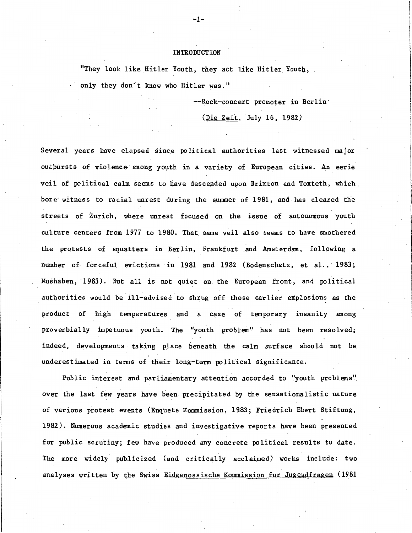#### INTRODUCTION

"They look like Hitler Youth, they act like Hitler Youth, only they don't know who Hitler was."

--Rock-concert promoter in Berlin·

(Die Zeit, July 16, 1982)

Several years have elapsed since political authorities last witnessed major outpursts of violence- among youth in a variety of European cities. An eerie veil of political calm seems to have descended upon Brixton and Toxteth, which bore witness to racial unrest during the summer of 1981, and has cleared the streets of Zurich, where unrest focused on the issue of autonomous youth culture centers from 1977 to 1980. That same veil also seems to have smothered the protests of squatters in Berlin, Frankfurt .and Amsterdam, following a number of forceful evictions in 1981 and 1982 (Bodenschatz, et al., 1983; Mushaben, 1983). But all is not quiet on the European front, and political authorities would be ill-advised to shrug off those earlier explosions as the product of high temperatures and a case of temporary insanity among proverbially impetuous youth. The "youth problem'' has not been resolved; indeed, developments taking place beneath the calm surface should not be underestimated in terms of their long-term political significance.

Public interest and parliamentary attention accorded to "youth problems" over the last few years have been. precipitated by the sensationalistic nature of various protest events (Enquete Kommission, 1983; Friedrich Ebert Stiftung, 1982). Numerous academic studies and investigative reports have been presented for public scrutiny; few have produced any concrete political results to date. The more widely publicized (and critically acclaimed) works include: two analyses written by the Swiss Eidgenossische Kommission fur Jugendfragen (1981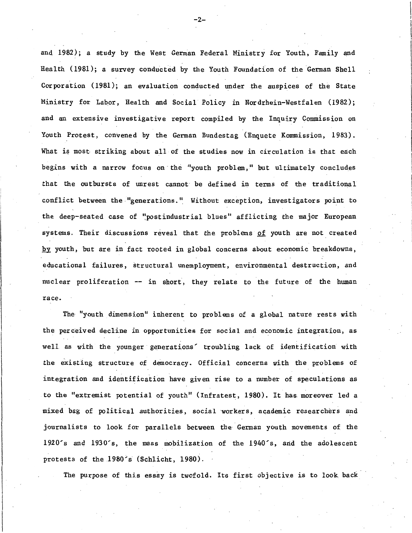and, 1982); a study by the West German Federal Ministry for Youth, Family and Health (1981); a survey conducted by the Youth Foundation of the German Shell Corporation ( 1981); an evaluation conducted under the auspices of the State Ministry for Labor, Health and Social Policy in Nordrhein-Westfalen (1982); and an extensive investigative report compiled by the Inquiry Commission on Youth Protest, convened by the German Bundestag (Enquete Kommission, 1983). What is most striking about all of the studies now in circulation is that each begins with a narrow focus on the "youth problem," but ultimately concludes that the outbursts of unrest cannot be defined in terms of the traditional conflict between the "generations." Without exception, investigators point to the deep-seated case of "postindustrial blues" afflicting the major European systems. Their discussions reveal that the problems of youth are not created by youth, but are in fact rooted in global concerns about economic breakdowns, educational failures, structural unemployment, environmental destruction, and nuclear proliferation -- in short, they relate to the future of the human race.

The "youth dimension" inherent to problems of a global nature rests with the perceived decline in opportunities for social and economic integration, as well as with the younger generations' troubling lack of identification with the existing structure of democracy. Official concerns with the problems of integration and identification have given rise to a number of speculations as to the "extremist potential of youth" (Infratest, 1980). It has moreover led a mixed bag of political authorities, social workers, academic researchers and journalists to look for parallels between the German youth movements of the 1920's and 1930's, the mass mobilization of the 1940's, arid the adolescent protests of the 1980's (Schlicht, 1980).

The purpose of this essay is twofold. Its first objective is to look back

-2-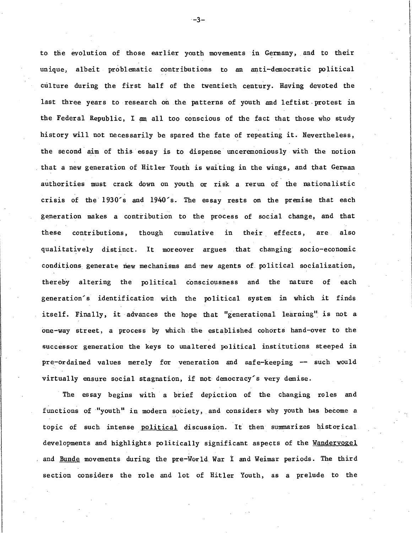to the evolution of those earlier youth movements in Germany, and to their unique, albeit problematic contributions to an anti-democratic political culture during the first half of the twentieth century. Having devoted the last three years to research on the patterns of youth and leftist protest in the Federal Republic, I am all too conscious of the fact that those who study history will not necessarily be spared the fate of repeating it. Nevertheless, the second aim of this essay is to dispense unceremoniously with the notion that a new generation of Hitler Youth is waiting in the wings, and that German authorities must crack down on youth or risk a rerun of the nationalistic crisis of the 1930's and 1940's. The essay rests on the premise that each generation makes a contribution to the process of social change, and that these contributions, though cumulative in their effects, are also qualitatively distinct. It moreover argues . that changing socio-economic conditions generate new mechanisms and new agents of political socialization, thereby altering the political conscioµsness and the nature of each generation's identification with the political system in which it finds itself. Finally, it advances the hope that "generational learning" is not a one-way street, a process by which the estabiished cohorts hand-over to the successor generation the keys to unaltered political. institutions steeped in pre-ordained values merely for veneration and safe-keeping -- such would virtually ensure social stagnation, if not democracy's very demise.

The essay begins with a brief depiction of the changing roles and functions of "youth" in modern society, and considers why youth has become a topic of such intense political discussion. It then summarizes historical developments and highlights politically significant aspects of the Wandervogel and Bunde movements during the pre-World. War i and Weimar periods. The third section considers the role and lot of Hitler Youth, as a prelude to the

 $-3-$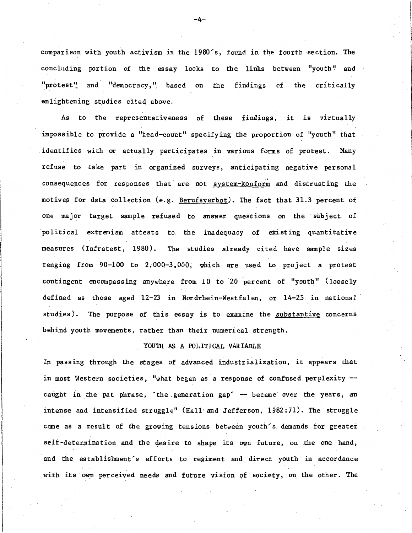comparison with youth activism in the 1980's, found in the fourth section. The concluding portion of the essay looks to the links between "youth" and "protest" and "democracy," based on the findings of the critically enlightening studies cited above.

As to the representativeness of these findings, it is virtually impossible to provide a "head-count" specifying the proportion of "youth" that identifies with or actually participates in various forms of protest. Many refuse to take part in organized surveys, anticipating negative personal consequences for responses that are not system-konform and distrusting the motives for data collection (e.g. Berufsverbot). The fact that 31.3 percent of one major target sample refused to answer questions on the subject of political extremism attests to the inadequacy of existing quantitative measures (Infratest, 1980). The studies already cited have sample sizes ranging from 90-100 to 2,000-3,000, which are used to project a protest contingent encompassing anywhere from 10 to 20 percent of "youth" (loosely defined as those aged 12-23 in Nordrhein-Westfalen, or 14-25 in national studies). The. purpose of this essay is to examine the substantive concerns behind youth movements, rather than their numerical strength.

#### YOUTH AS A POLITICAL VARIABLE

In passing through the stages of advanced industrialization, it appears that in most Western societies, "what began as a response of confused perplexity caught in the pat phrase, the generation gap' -- became over the years, an intense and intensified struggle" (Hall and Jefferson, 1982:71). The struggle came as a result of the growing tensions between youth's. demands. for greater self-determination and the desire to shape its own future, on the one hand, and the establishment's efforts to regiment and direct youth in accordance with its own perceived needs and future vision of society, on the other. The

-4-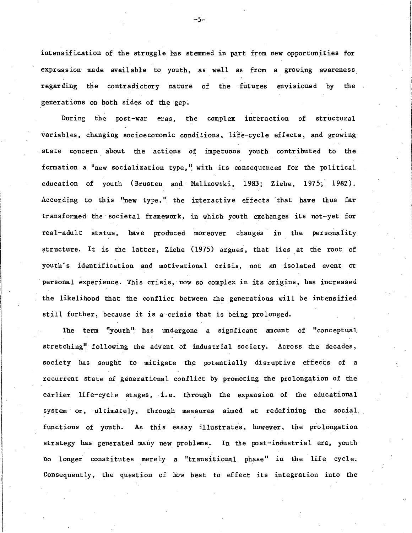intensification of the struggle has stemmed in part from new opportunities for expression made available to youth, as well as from a growing awareness regarding the contradictory nature of the futures envisioned by the generations on both sides of the gap.

During the post-war eras, the complex interaction of structural variables, changing socioeconomic conditions, life-cycle effects, and growing state concern about the actions of impetuous youth contributed to the formation a "new socialization type," with its consequences for the political education of youth (Brusten and Malinowski, 1983; Ziehe, 1975; 1982). According to this "new type," the interactive effects that have thus far transformed the societal framework, in which youth exchanges its not-yet for real-adult status, have produced moreover changes in the personality structure. It is the latter, Ziehe (1975) argues, that lies at the root of youth's identification and motivational crisis, not an isolated event or personal experience. This crisis, now so complex in its origins, has increased the likelihood that the conflict between the generations will be intensified still further, because it is a crisis that is being prolonged.

The term "youth" has undergone a signficant amount of "conceptual stretching" following the advent of industrial society. Across the decades, society has sought to mitigate the potentially disruptive effects of a recurrent state of generational conflict by promoting the prolongation of the earlier life-cycle stages, i.e. through the expansion of the educational system or, ultimately, through measures aimed at redefining the social. functions of youth. As this essay illustrates, however, the prolongation strategy has generated many new problems. In the post-industrial era, youth no longer constitutes merely a "transitional phase" in the life cycle. Consequently, the question of how best to effect its integration into the

-5-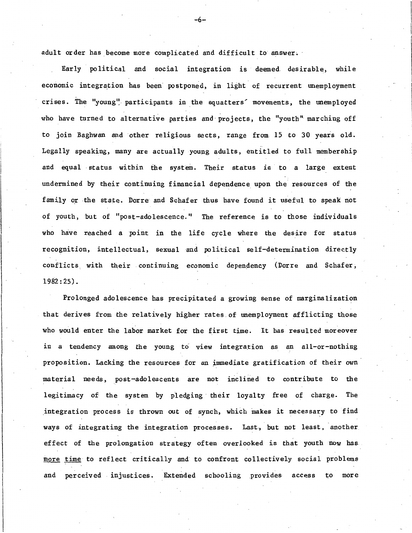adult order has become more complicated and difficult to answer.

Early political and social integration is deemed. desirable, while economic integration has been postponed, in light of recurrent unemployment crises. The "young" participants in the squatters' movements, the unemployed who have turned to alternative parties and projects, the "youth" marching off to join Baghwan and other religious sects, range from 15 to 30 years old. ,\_ Legally speaking, many are actually young adults, entitled to full membership and equal status within the system. Their status is to a large extent undermined by their continuing financial dependence upon the resources of the family or the state. Dorre and Schafer thus have found it useful to speak not of youth, but of "post-adolescence." The reference is to those individuals who have reached a point in the life cycle where the desire for status recognition, intellectual, sexual and political self-determination directly conflicts with their continuing economic dependency (Dorre and Schafer; 1982: 25).

Prolonged adolescence has precipitated a growing sense of marginalization that derives from the relatively higher rates of unemployment afflicting those who would enter the labor market for the first time. It has resulted moreover in a tendency among the young to view integration as an all-or-nothing proposition. Lacking the resources for an immediate gratification of their own material needs, post-adolescents are not inclined to contribute to the legitimacy of the system by pledging their loyalty free of charge. The integration process is thrown out of synch, which makes it necessary to find ways of integrating the integration processes. Last, but not least, another effect of the prolongation strategy often overlooked is that youth now has. more time to reflect critically and to confront collectively social problems and perceived injustices. Extended schooling provides access to more

-6-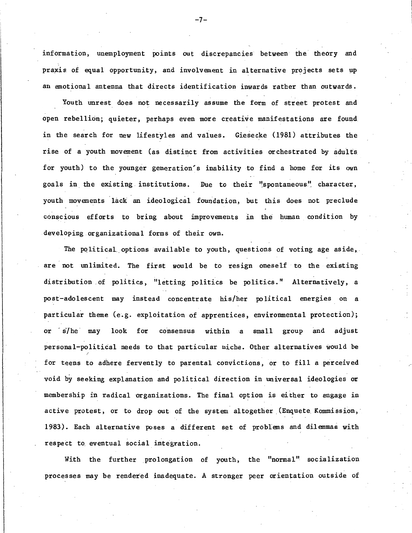information, unemployment points out discrepancies between the theory and praxis of equal opportunity, and involvement in alternative projects sets up an emotional antenna that directs identification inwards rather than outwards.

Youth unrest does not necessarily assume the form of street protest and open rebellion; quieter, perhaps even more creative manifestations are found in the search for new lifestyles and values. Giesecke (1981) attributes the rise of a youth movement (as distinct from activities orchestrated by adults for youth) to the younger generation's inability to find a home for its own goals in the existing institutions. Due to their "spontaneous" character, youth movements lack an ideological foundation, but this does not preclude conscious efforts to bring about improvements in the human condition by developing organizational forms of their own.

The political options available to youth, questions of voting age aside, are not unlimited. The first would be to resign oneself to the existing distribution of politics, "letting politics be politics." Alternatively, a post-adolescent may instead concentrate his/her political energies on a particular theme (e.g. exploitation of apprentices, environmental protection); or s/he may look for consensus within a small group and adjust personal-political needs to that particular niche. Other alternatives would be for teens to adhere fervently to parental convictions, or to fill a perceived void by seeking explanation and political direction in universal ideologies or membership in radical organizations. The final option is either to engage in active protest, or to drop out of the system altogether (Enquete Kommission, 1983). Each alternative poses a different set of problems and dilemmas with respect to\_ eventual social integration.

With the further prolongation of youth, the "normal" socialization processes may be rendered inadequate. A stronger peer orientation outside of

-7-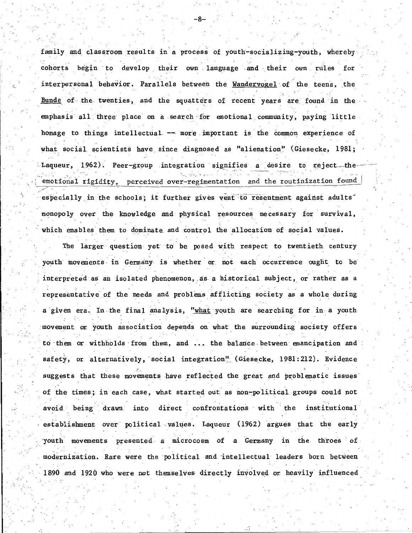family and classroom results in a process of youth-socializing-youth, whereby cohorts begin to develop their own language and their own rules for . . interpersonal behavior. Parallels between the Wandervogel of the teens, the Bunde of the twenties, and the squatters of recent years are found in the emphasis all three place on a search -for emotional. community, paying little homage to things intellectual.  $-$  more important is the common experience of what social scientists have since diagnosed as "alienation" (Giesecke, 1981; Laqueur, 1962). Peer-group integration signifies a desire to reject--theemotional rigidity, perceived over-regimentation and the routinization found / . especially in the schools; it further gives vent to resentment against adults' monopoly over the knowledge and physical resources necessary for survival, which enables them to dominate and control the allocation of social values.

-8-

The larger question yet to be posed with respect to twentieth century youth movements in Germany is whether or not each occurrence ought to be interpreted as an isolated phenomenon, as a historical subject, or rather as a representative of the needs and problems afflicting society as a whole during . In the contribution of the contribution of the contribution of the contribution of the contribution of the contribution of the contribution of the contribution of the contribution of the contribution of the contribution a given era. In the final analysis, "what youth are searching for in a youth movement or youth association depends on what the surrounding society offers to them or withholds from them, and ... the balance between emancipation and safety, or alternatively, social integration<sup>"</sup> (Giesecke, 1981:212). Evidence J', suggests that these movements have reflected the great and problematic issues of the times; in each case, what started out as non-political groups could not avoid being drawn into direct confrontations with the institutional. establishment over political values. Laqueur (1962) argues that the early ·youth movements presented a microcosm of a Germany in the throes of modernization. Rare were the ·political and ·intellectual leaders born between 1890 and 1920 who were not themselves directly involved or heavily influenced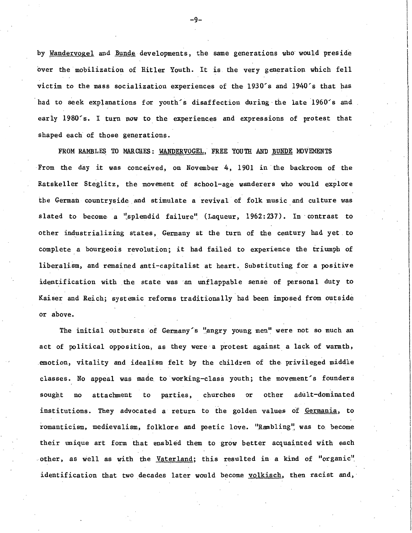by Wandervogel and Bunde developments, the same generations who would preside over the mobilization of Hitler Youth. It is the very generation which fell victim to the mass socialization experiences of the  $1930$ 's and  $1940$ 's that has had to seek explanations for youth's disaffection during the late 1960's and early 1980's. I turn now to the experiences and expressions of protest that shaped each of those generations.

FROM RAMBLES TO MARCHES: WANDERVOGEL, FREE YOUTH AND BUNDE MOVEMENTS From the day it was conceived, on November 4, 1901 in the backroom of the Ratskeller Steglitz, the movement of school-age wanderers who would explore the German countryside and stimulate a revival of folk music and culture was slated to become a "splendid failure" (Laqueur, 1962:237). In contrast to other industrializing states, Germany at the turn of the century had yet to complete a bourgeois revolution; it had failed to experience the triumph of liberalism, and remained anti-capitalist at heart. Substituting for a positive identification with the state was an unflappable sense of personal duty to Kaiser and Reich; systemic reforms traditionally had been imposed from outside or above.

The initial outbursts of Germany's "angry young men" were not so much an act of political opposition, as they were a protest against a lack of warmth, emotion, vitality and idealism felt by the children of the privileged middle classes. No appeal was made to working-class youth; the movement's founders sought no attachment to parties, churches or other adult-dominated institutions. They advocated a return to the golden values of <u>Germania</u>, to romanticism, medievalism, folklore and poetic love. "Rambling" was to become their unique art form that enabled them to grow better acquainted with each other, as well as with the  $V_{\text{afterland}}$ ; this resulted in a kind of "organic" identification that two decades later would become volkisch, then racist and,

-9-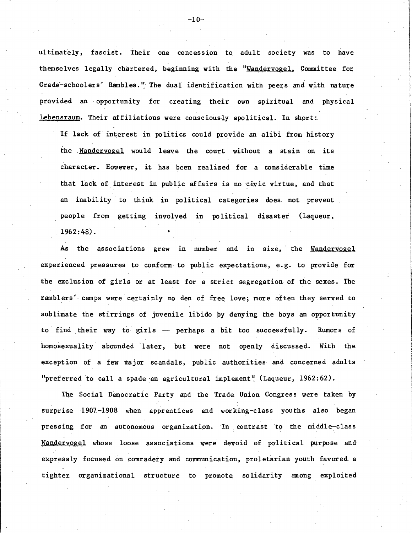ultimately, fascist. Their one concession to adult society was to have themselves legally chartered, beginning with the "Wandervogel, Committee for Grade-schoolers' Rambles." The dual identification with peers and with nature provided an opportunity for creating their own spiritual and physical Lebensraum. Their affiliations were consciously apolitical. In short:

If lack of interest in politics could provide an alibi from history the **Mandervogel** would leave the court without a stain on its character. However, it has been realized for a considerable time that lack of interest in public affairs is no civic virtue, and that an inability to think in political categories does not prevent people from getting involved in political disaster (Laqueur, 1962:48).

As the associations grew in number and in size, the Wandervogel experienced pressures to conform to public expectations, e.g. to provide for the exclusion of girls or at least for a strict segregation of the sexes. The ramblers' camps were certainly no den of free love; more often they served to sublimate the stirrings of juvenile libido by denying the boys an opportunity to find their way to girls -- perhaps a bit too successfully. Rumors of homosexuality abounded later, but were not openly discussed. With the exception of a few major scandals, public authorities and concerned adults "preferred to call a spade an agricultural implement" (Laqueur, 1962:62).

The Social Democratic Party and the Trade Union Congress were taken by surprise 1901-1908 when apprentices and working-class youths also began pressing for an autonomous organization. In contrast to the middle-class Wandervogel whose loose associations. were devoid of political purpose and: expressly focused on comradery and communication, proletarian youth favored a tighter organizational structure to promote solidarity among exploited

 $-10-$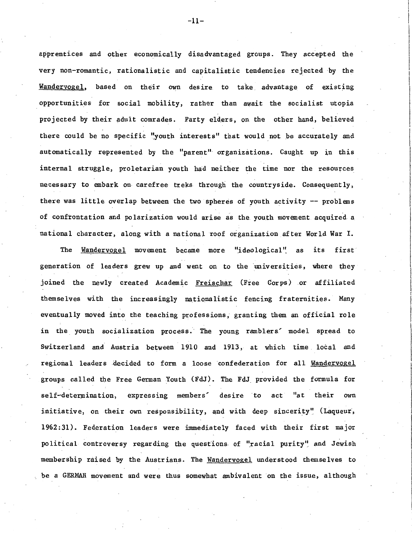apprentices and other economically disadvantaged groups. They accepted the very non-romantic, rationalistic and capitalistic tendencies rejected by the Wandervogel, based on their own desire. to take advantage of existing opportunities for social mobility, rather than await the socialist utopia projected by their adult comrades. Party eld\_ers, on the other hand, believed there could be no specific "youth interests" that would not be accurately and automatically represented by the "parent" organizations. Caught up in this internal struggle, proletarian youth had neither the time nor the resources necessary to embark on carefree treks through the countryside. Consequently, there was little overlap between the two spheres of youth activity  $-$  problems of confrontation and polarization would arise as the youth movement acquired a national character, along with a national roof organization after World War I.

The Wandervogel movement became more "ideological" as its first generation of leaders grew up and went on to the universities, where they joined the newly created Academic Freischar (Free Corps) or affiliated themselves with the increasingly nationalistic fencing fraternities. Many eventually moved into the teaching pr0fessions, granting them an official role in the youth socialization process. The young ramblers' model spread to Switzerland and Austria between 1910 and 1913, at which time. local and regional leaders decided to form a loose confederation for all Wandervogel groups called the Free German Youth (FdJ). The FdJ provided the formula for self-determination, expressing members' desire to act "at their own initiative, on their own responsibility, and with deep sincerity" (Laqueur, 1962:31). Federation leaders were immediately faced with their first major political controversy regarding the questions of "racial purity" and Jewish membership raised by the Austrians. The Wandervogel understood themselves to be a GERMAN movement and were thus somewhat ambivalent on the issue, although

-11-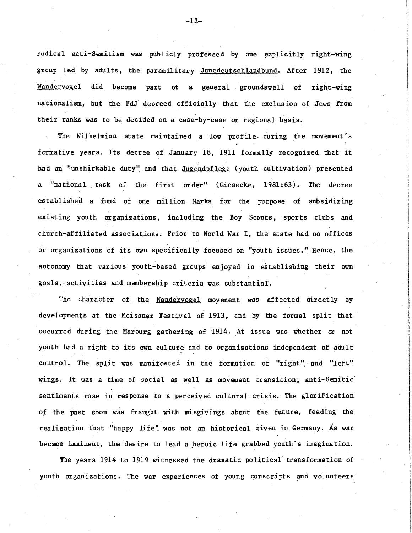radical anti-Semitism was publicly professed by one explicitly right-wing group led by adults, the paramilitary Jungdeutschlandbund. After 1912, the Wandervogel did become part of a general groundswell of right-wing nationalism, but the FdJ decreed officially that the exclusion of Jews from their ranks was to be decided on a case-by-case or regional basis.

The Wilhelmian state maintained a low profile- during the movement's formative years. Its decree of January 18, 1911 formally recognized that it had an "unshirkable duty" and that Jugendpflege (youth cultivation) presented a "national task of the first order" (Giesecke, 1981:63). The decree established a fund of one million Marks for the purpose of subsidizing existing youth organizations, including the Boy Scouts, sports clubs and church-affiliated associations. Prior to World War I, the state had no offices or organizations of its own specifically focused on "youth issues." Hence, the autonomy that various youth-based groups enjoyed in establishing their own goals, activities and membership criteria was substantial.

The character of the Wandervogel movement was affected directly by developments at the Meissner Festival of 1913, and by the formal split that occurred during the Marburg gathering of 1914. At issue was whether or not youth had a right to its own culture and to organizations independent of adult control. The split was manifested in the formation of "right" and "left" wings. It was a time of social as well as movement transition; anti-Semitic· sentiments rose in response to a perceived cultural crisis. The glorification of the past soon was fraught with misgivings about the future, feeding the realization that "happy life" was not an historical given in Germany. As war became imminent, the desire to lead a heroic life grabbed youth's imagination.

The years 1914 to 1919 witnessed the dramatic political· transformation of youth organizations. The war experiences of young conscripts and volunteers

 $-12-$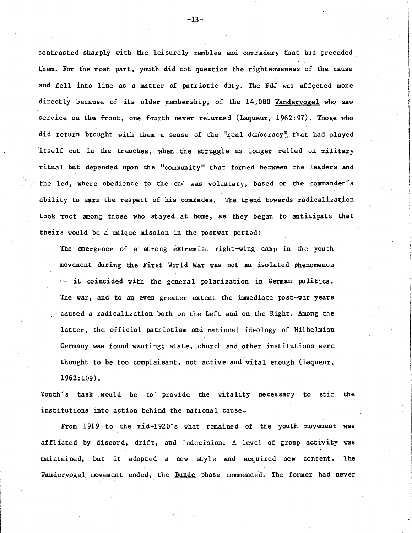contrasted sharply with the leisurely rambles and comradery that had preceded \_ them. For the most part, youth did not question the righteousness of the cause and fell into line as a matter of patriotic duty. The FdJ was affected more directly because of its older membership; of the 14,000 Wandervogel who saw service on the front, one fourth never returned (Laqueur, 1962:97). Those who did return brought with them a sense of the "real democracy" that had played itself out in the trenches, when the struggle no longer relied on military ritual but depended upon the "community" that formed between the leaders and the led, where obedience to the end was voluntary, based on the commander's ability to earn the respect of his comrades. The trend towards radicalization took root among those who stayed at home, as they began to anticipate that theirs would be a unique mission in the postwar perio4:

The emergence of a strong extremist right-wing camp in the youth movement during the First World War was not an isolated phenomenon -- it coincided with the general polarization in German politics. The war, and to an even greater extent the immediate post-war years caused a radicalization both on the Left and on the Right. Among the latter, the official patriotism and national ideology of Wilhelmian Germany was found wanting; state, church and other institutions were thought to be too complaisant, not active and vital enough (Laqueur, 1962:109).

Youth's task would be to provide the vitality necessary to stir the institutions into action behind the national cause.

From 1919 to the mid-l92O's what remained of the youth movement was afflicted by discord, drift, and indecision. A level of group activity was maintained, but it adopted a new style and acquired new content. The Wandervogel movement ended, the Bunde phase commenced. The former had never

-13-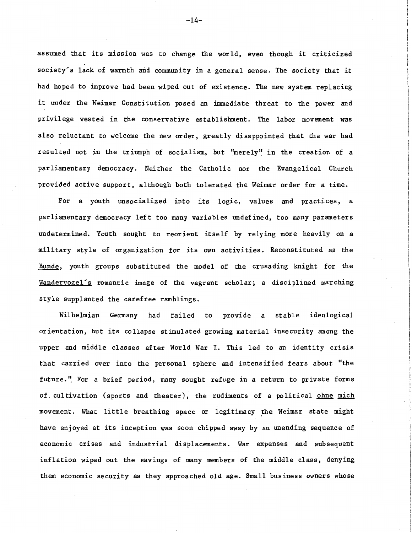assumed that its mission was to change the world, even though it criticized society's lack of warmth and community in a general sense. The society that it had hoped to improve had been wiped out of existence. The new system replacing it under the Weimar Constitution posed an immediate threat to the power and privilege vested in the conservative establishment. The labor movement was also reluctant to welcome the new order, greatly disappointed that the war had resulted not in the triumph of socialism, but "merely" in the creation of a parliamentary democracy. Neither the Catholic nor the Evangelical Church provided active support, although both tolerated the Weimar order for a time.

For a youth unsocialized into its logic, values and practices, a parliamentary democracy left too many variables undefined, too many parameters undetermined. Youth sought to reorient itself by relying more heavily on a military style of organization for its own activities. Reconstituted as the Bunde, youth groups substituted the model of the crusading knight for the Wandervogel's romantic image of the vagrant scholar; a disciplined marching style supplanted the carefree ramblings.

Wilhelmian Germany had failed to provide a stable ideological orientation, but its collapse stimulated growing material insecurity among the upper and middle classes after World War I. This led to an identity crisis that carried over into the personal sphere and intensified fears about "the future." For a brief period, many sought refuge in a return to private forms of. cultivation (sports and theater), the rudiments of a political ohne mich movement. What little breathing space or legitimacy the Weimar state might have enjoyed at its inception was soon chipped away by an unending sequence of economic crises and industrial displacements. War expenses and subsequent inflation wiped out the savings of many members of the middle class, denying them economic security as they approached old age. Small business owners whose

 $-14-$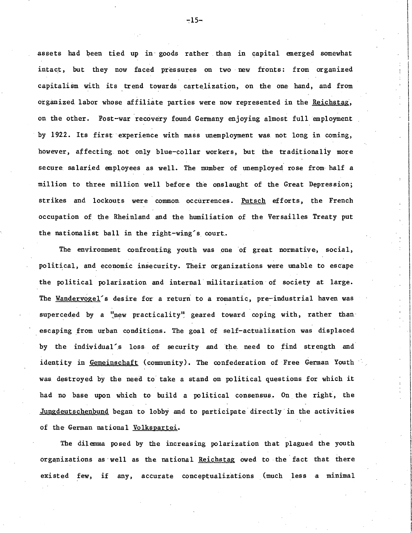assets had been tied up in goods rather than in capital emerged somewhat intact, but they now faced pressures on two new fronts: from organized capitalism with its trend towards carteJization, on the one hand, and from organized labor wh0se affiliate parties were now represented in the Reichstag. on the other. Post-war recovery found Germany enjoying almost full employment by 1922. Its first experience with mass unemployment was. not long in coming, however, affecting not only blue-collar workers, but the traditionally more secure salaried employees as well. The number of unemployed rose from half a million to three million well before the onslaught of the Great Depression; strikes and lockouts were common occurrences. Putsch efforts, the French occupation of the Rheinland and the humiliation of the Versailles Treaty put the nationalist ball in the right-wing's court.

The environment confronting youth was one of great normative, social, political, and economic insecurity. Their organizations were unable to escape the political polarization and internal· militarization· of society at large. The Wandervogel's desire for a return to a romantic, pre-industrial haven was superceded by a "new practicality" geared toward coping with, rather than. escaping from urban conditions. The goal of self-actualization was displaced by the individual's loss of security and the need to find strength and identity in Gemeinschaft (community). The confederation of Free German Youth was destroyed by the need to take a stand on political questions for which it had no base upon which to build a political consensus.. On. the right, the Jungdeutschenbund began to lobby and to participate directly-in the activities of the German national Volkspartei.

The dilemma posed by the increasing polarization that plagued the youth organizations as well as the national Reichstag owed to the fact that there existed few, if any, accurate conceptualizations (much less a minimal

 $-15-$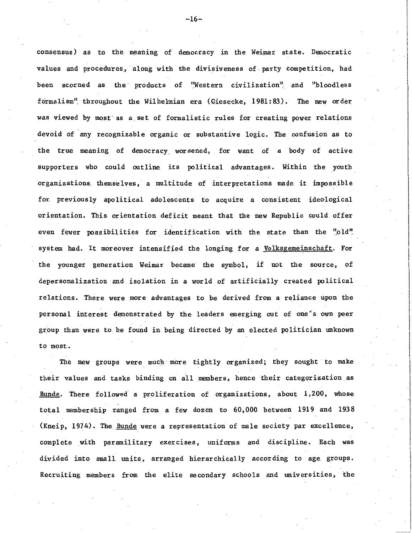consensus) as to the meaning of democracy in the Weimar state. Democratic values and procedures, along with the divisiveness of party competition, had been scorned as the products of "Western civilization" and "bloodless formalism11, throughout the Wilhelmian era (Giesecke, 1981: 83). The new order was viewed by most as a set of formalistic rules for creating power relations devoid of any recognizable organic or substantive logic. The confusion as to the true meaning of democracy\_ worsened, for want of a body of active supporters who could outline its political advantages. Within the youth organizations themselves, a multitude of interpretations made it impossible for previously apolitical adolescents to acquire a consistent ideological orientation. This orientation deficit meant that the new Republic could offer even fewer possibilities for identification with the state than the "old" system had. It moreover intensified the longing for a Volksgemeinschaft. For the younger generation Weimar became the symbol, if not the source, of depersonalization and isolation in a world of artificially created political relations. There were more advantages to be derived from a reliance upon the personal interest demonstrated by the leaders emerging out of one's own peer group than were to be found in being directed by an elected politician unknown to most.

The new groups were much more tightly organized; they sought to make their values and tasks binding on all members, hence their categorization.as Bunde. There followed a proliferation of organizations, about 1,200, whose total membership ranged from a few dozen to 60,000 between 1919 and 1938 (Kneip, 1974). The Bunde were a representation of male society par excellence, complete with paramilitary exercises, uniforms and discipline. Each was divided into small units, arranged hierarchically according to age. groups. Recruiting members from the elite secondary schools and universities, the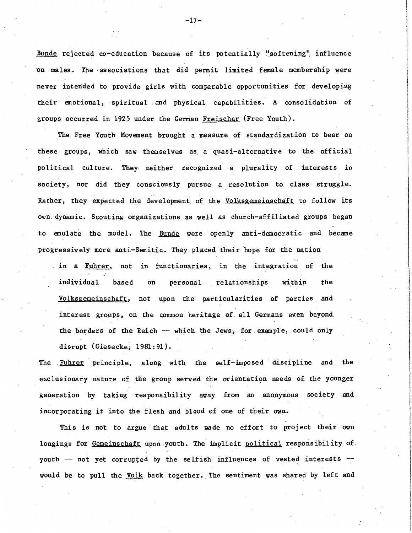Bunde rejected co-education because of its potentially "softening" influence on males. The associations that did permit limited female membership were never intended to provide girls with comparable opportunities for developing their emotional, · spiritual and physical capabilities. A consolidation of groups occurred in 1925 under the German Freischar (Free Youth).

The Free Youth Movement brought a measure of standardization to bear on these groups, which saw themselves as a quasi-alternative to the official political culture. They neither recognized a plurality of interests in society, nor did they consciously pursue a resolution to. class struggle. Rather, they expected the development of the Volksgemeinschaft to follow its own. dynamic. Scouting organizations as well as church-affiliated groups began to emulate the model. The Bunde were openly anti-democratic and became progressively more anti-Semitic. They placed their hope for the nation

in a Fuhrer, not in functionaries, in the integration of the individual based on personal relationships within the Volksgemeinschaft, not upon the particularities of parties and interest groups, on the common heritage of. all Germans even beyond the borders of the Reich -- which the Jews, for example, could only disrupt (Giesecke; 1981:91).

The Fuhrer principle, along with the self-imposed discipline and the exclusionary nature of the group served the orientation needs of. the younger generation by taking responsibility away from an anonymous society and incorporating it into the flesh and blood of one of their own.

This is not to argue that adults made no effort to project their own longings for Gemeinschaft upon youth. The implicit political responsibility of youth -- not yet corrupted by the selfish influences of vested interests -would be to pull the Volk back together. The sentiment was shared by left and

-17-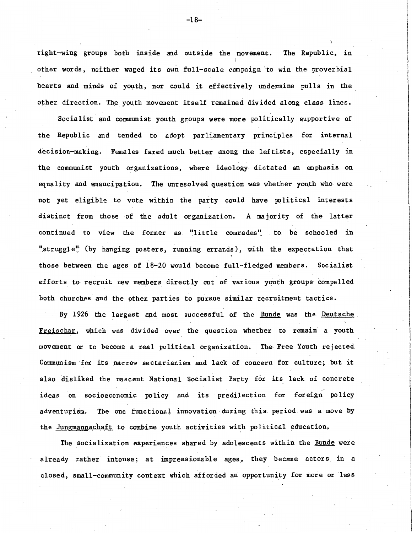right-wing groups both inside and outside the movement. The Republic, in other words, neither waged its own full-scale campaign to win the proverbial hearts and minds of youth, nor could it effectively undermine pulls in the other direction. The youth movement itself remained divided along class lines.

Socialist and communist youth groups. were more politically supportive of the Republic and tended to adopt parliamentary principles for internal decision-making. Females fared much better among the leftists, especially in the communist youth organizations, where ideology dictated an emphasis on equality and emancipation. The unresolved question was whether youth who were not yet eligible to vote within the party could have political interests distinct from those of the adult organization. A majority of the latter continued to view the former as "little comrades" to be schooled in "struggle" (by hanging posters, running errands), with the expectation that those between the ages of  $18-20$  would become full-fledged members. Socialist efforts to recruit new members directly out of various youth groups compelled both churches and the other parties to pursue similar recruitment tactics.

By 1926 the largest and most successful of the Bunde was the Deutsche. Freischar, which was divided over the question whether to remain a youth movement or to become a real political organization. The· Free Youth rejected Communism for its narrow sectarianism and lack of concern for culture; but it also disliked the nascent National Socialist Party for its lack of concrete ideas on socioeconomic policy and its predilection for foreign policy adventurism. The one functional innovation during this period was a move by the Jungmannschaft to combine youth activities with political education.

The socialization experiences shared by adolescents within the Bunde were already rather intense; at impressionable ages, they became actors in a closed, small-community context which afforded an: opportunity for more or less

-18-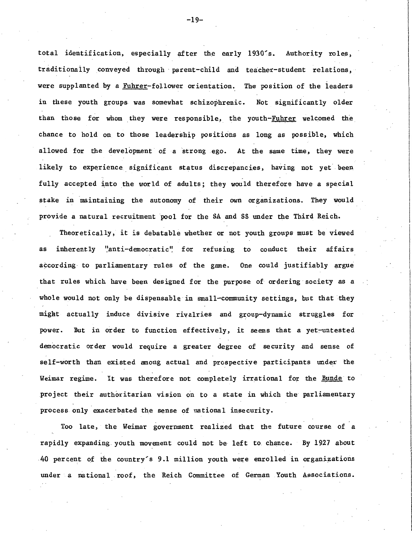total identification, especially after the early 1930's. Authority roles, traditionally conveyed through parent-child and teacher-student relations, were supplanted by a Fuhrer-follower orientation. The position of the leaders in these youth groups was somewhat schizophrenic. Not significantly older than those for whom they were responsible, the youth-Fuhrer welcomed the chance to hold on to those leadership positions as long as possible, which allowed for the development of a strong ego. At the same time, they were likely to experience significant status discrepancies, having not yet been fully accepted into the world of adults; they would therefore have a special stake in maintaining the autonomy of their own organizations. They would provide a natural recruitment pool for the SA and SS under the Third Reich.

Theoretically, it is debatable whether or not youth groups must be viewed as inherently "anti-democratic" for refusing to conduct their affairs according to parliamentary rules of the game. One could justifiably argue that rules which have been designed for the purpose of ordering· society as a whole would not only be dispensable in small-community settings, but that they migat actually induce divisive rivalries and group-dynamic struggles for power. But in order to function effectively, it seems that a yet-untested democratic order would require a greater degree of security and sense of self-worth than existed among actual and prospective participants under the Weimar regime. It was therefore not completely irrational for the Bunde to project their authoritarian vision on to a state in which the parliamentary process only exacerbated the sense of national insecurity.

Too late, the Weimar government realized that the future course of a rapidly expanding. youth movement could not be left to. chance. By 1927 about 40 percent of the country's 9.1 million youth were enrolled in organizations under a national roof, the Reich Committee of German Youth Associations.

-19-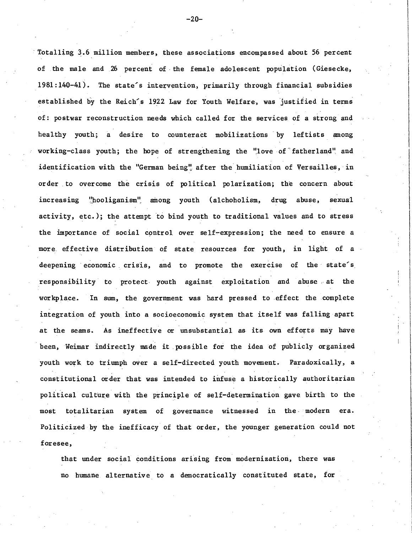Totalling 3.6 million members, these associations encompassed about 56 percent of the male and 26 percent of the female adolescent population (Giesecke, 1981:140-41). The state's intervention, primarily through financial subsidies established by the Reich's 1922 Law for Youth Welfare, was justified in terms of: postwar reconstruction needs which called for the services of a strong and healthy youth; a desire to counteract mobilizations by leftists among working-class youth; the hope of strengthening the "love of fatherland" and identification with the "German being" after the humiliation of Versailles, in order to overcome the crisis of political polarization; the concern about increasing "hooliganism" among youth (alchoholism, drug abuse, sexual activity, etc.); the attempt to bind youth to traditional values and to stress the importance of social control over self-expression; the need to ensure a more effective distribution of state resources for youth, in light of a deepening economic crisis, and to promote the exercise of the state's responsibility to protect youth against exploitation and abuse at the workplace. In sum, the government was hard pressed to effect the complete integration of youth into a socioeconomic system that itself was falling apart at the seams. As ineffective or unsubstantial as its own efforts may have been, Weimar indirectly made it possible for the idea of publicly organized youth work to triumph over a self-directed youth movement. Paradoxically, a constitutional order that was intended to infuse a historically authoritarian political culture with the principle of self-determination gave birth to the most totalitarian system of governance witnessed in the modern era. Politicized by the inefficacy of that order, the younger generation could not foresee,

that under social conditions arising from modernization, there was no humane. alternative to a democratically constituted state, for

-20-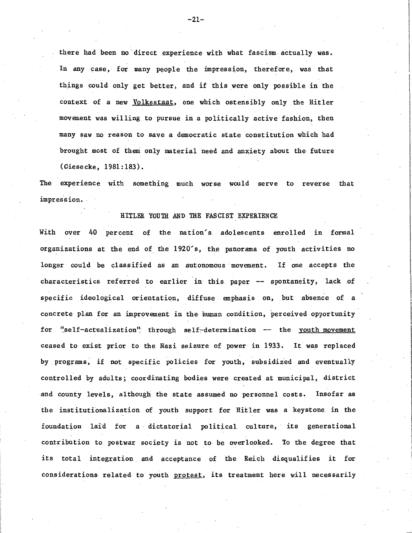there had been no direct experience with what fascism actually was. In any case, for many people the impression, therefore, was that things could only get better, and if this were only possible in the context of a new Volksstaat, one which ostensibly only the Hitler movement was willing to pursue in a politically active fashion, then many saw no reason to save a democratic state constitution which had brought most of theni only material need and anxiety about the future (Giesecke, 1981:183).

The experience with something much worse would serve to reverse that impress ion.

#### HITLER YOUTH AND THE FASCIST EXPERIENCE

With over 40 percent of the nation's adolescents enrolled in formal organizations at the end of the 1920's, the panorama of youth activities no longer could be classified as an autonomous movement. If one accepts the characteristics referred to earlier in this paper -- spontaneity, lack of specific ideological orientation, diffuse emphasis on, but absence of a concrete plan for an improvement in the human condition, perceived opportunity for "self-actualization" through self-determination -- the youth movement ceased to exist prior to the Nazi seizure of power in 1933. It was replaced by programs, if not specific policies for youth, subsidized and eventually controlled by adults; coordinating bodies were created at municipal, district -and county levels, although the state assumed no personnel costs. Insofar as the institutionalization of youth support for Hitler was a keystone in the foundation laid for a dictatorial political culture, its generational contribution to postwar society is not to be overlooked. To the degree that its total integration and acceptance of the Reich disqualifies it for considerations related to youth protest, its treatment here will necessarily

-21-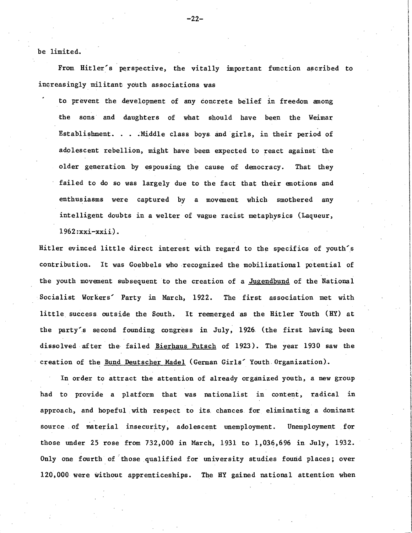be limited.

From Hitler's perspective, the vitally important function ascribed to increasingly militant youth associations was

to prevent the development of any concrete belief in freedom among the sons· and daughters of what should have been the Weimar Establishment. . . .Middle class boys and girls, in their period of adolescent rebellion, might have been expected to react against the older generation by espousing the cause of democracy. That they failed to do so was largely due to the fact that their emotions and enthusiasms were captured by a movement which smothered any intelligent doubts in a welter of vague racist metaphysics (Laqueur, 1962 :xxi-xxii).

Hitler evinced little direct interest with regard to the specifics of youth's contribution. It was Goebbels who .recognized the mobilizational potential of the youth movement subsequent to the creation of a Jugendbund of the National Socialist Workers' Party in March, 1922. The first association met with little. success outside the South. It reemerged as the Hitler Youth (HY) at the party'.s second founding congress in July, 1926 (the first having been dissolved after the failed Bierhaus Putsch of 1923). The year 1930 saw the creation of the Bund Deutscher Madel (German Girls' Youth Organization).

In order to attract the attention of already organized youth, a new group had to provide a platform that was nationalist in content, radical in approach, and hopeful with respect to its chances for eliminating a dominant source of material insecurity, adolescent unemployment. Unemployment for those under 25 rose from 732,000 in March, 1931 to 1,036,696 in July, 1932. Only one fourth of those qualified for university studies found places; over 120,000 were without apprenticeships. The HY gained national attention when

-22-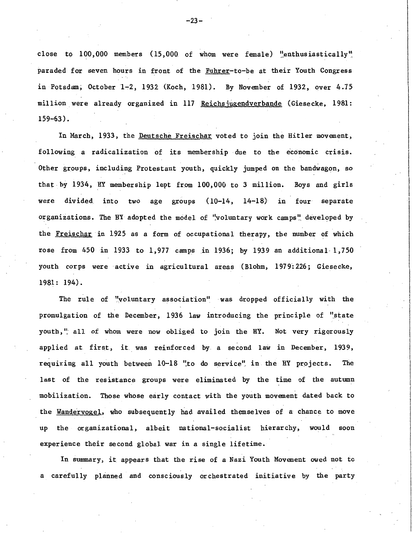close to  $100,000$  members (15,000 of whom were female) "enthusiastically" paraded for seven hours in front of the Fuhrer-to-be at their Youth Congress in Potsdam; October  $1-2$ , 1932 (Koch, 1981). By November of 1932, over 4.75 million were already organized in 117 Reichsjugendverbande (Giesecke, 1981: 159-63).

In March, 1933, the Deutsche Freischar voted to join the Hitler movement, following a radicalization of its membership due to the economic crisis. Other groups, including Protestant youth, quickly jumped on the bandwagon, so that by 1934, HY membership lept from 100,000 to 3 million. Boys and girls were divided. into two age groups (10-14, 14-18) in four separate organizations. The HY adopted the model of "voluntary work camps" developed by the Freischar in 1925 as a form of occupational therapy, the number of which rose from  $450$  in  $1933$  to  $1,977$  camps in  $1936$ ; by  $1939$  an additional  $1,750$ youth corps were active in agricultural areas (Blohm, 1979:226; Giesecke, 1981: 194).

The rule of ''voluntary association". was dropped officially with the promulgation of the December, 1936 law introducing the principle of "state youth," all of whom were now obliged to join the HY. Not very rigorously applied at first, it. was reinforced by a second law in December, 1939, requiring all youth between 10-18 "to do service" in the HY projects. The last of the resistance groups were eliminated by the time of the autumn mobilization. Those whose early contact with the youth movement dated back to the Wandervogel, who subsequently had availed themselves of a chance to move up the organizational, albeit national-socialist hierarchy, would soon experience their second global war in a single lifetime.

In sunnnary, it appears that the rise of a Nazi Youth Movement owed not to a carefully planned and consciously orchestrated initiative by the party

 $-23-$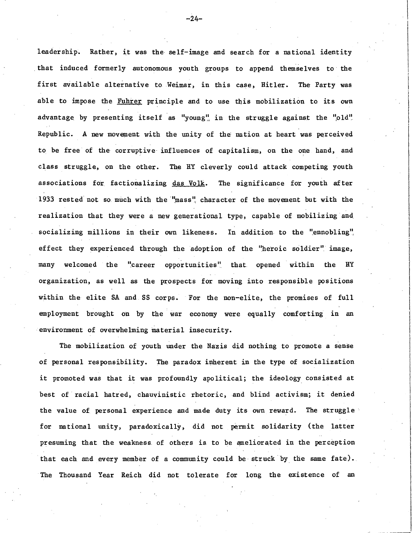leadership. Rather, it was the self-image and search for a national identity that induced formerly autonomous youth groups to append themselves to the first available alternative to Weimar, in this case, Hitler. The Party was able to impose the Fuhrer principle and to use this mobilization to its own advantage by presenting itself as "young" in the struggle against the "old" Republic. A new movement with the unity of the nation at heart was perceived to be free of the corruptive influences of capitalism, on the one hand, and class struggle, on the other. The HY cleverly could attack competing youth associations for factionalizing das Volk. The significance for youth after 1933 rested not so much with the "mass" character of the movement but with the realization that they were a new generational type, capable of mobilizing and socializing millions in their own likeness. In addition to the "ennobling", effect they experienced through the adoption of the "heroic soldier" image, many welcomed the "career opportunities" that opened within the HY organization, as well as the prospects for moving into responsible positions within the elite SA and SS corps. For the non-elite, the promises of full employment brought on by the war economy were equally comforting in an environment of overwhelming material insecurity.

The mobilization of youth under the Nazis did nothing to promote a sense of personal responsibility. The paradox inherent in the type of socialization it promoted was that it was profoundly apolitical; the ideology consisted at best of racial hatred, chauvinistic rhetoric, and blind activism; it denied the value of personal experience and made duty its own reward. The struggle · for national unity, paradoxically, did not permit solidarity (the latter presuming that the weakness of others is to be ameliorated in the perception that each and every member of a community could be struck by the same fate). The Thousand Year Reich did not tolerate for long the existence of an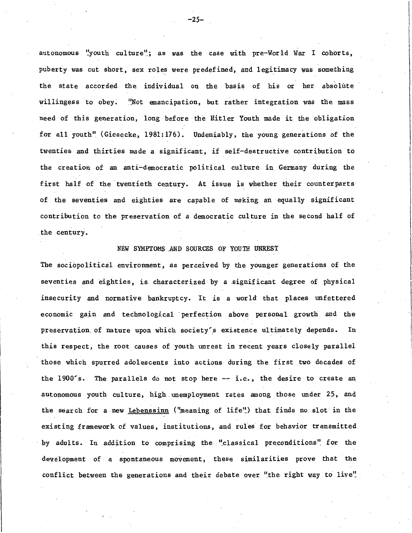autonomous "youth culture"; as was the case with pre-World War I cohorts, puberty was cut short, sex roles were predefined, and legitimacy was something the state accorded the individual on the basis of his or her absolute willingess to obey. "Not emancipation, but rather integration was the mass need of this generation, long before the Hitler Youth made it the obligation for all youth" (Giesecke, 1981:176). Undeniably, the young generations of the twenties and thirties made a significant, if self-destructive contribution to the creation of an anti-democratic political culture in Germany during the first half of the twentieth century. At issue is whether their counterparts of the seventies and eighties are capable of making an equally significant contribution to. the preservation of a democratic culture in the second half of . the century.

## NEW SYMPTOMS .AND SOURCES OF YOUTH UNREST

The sociopolitical environment, as perceived by the younger generations of the seventies and eighties, is characterized by a significant degree of physical insecurity and normative bankruptcy. It is a world that places unfettered economic gain and technological perfection above personal growth and the preservation of nature upon which society's existence ultimately depends. In this respect, the root causes of youth unrest in recent years closely parallel those which spurred adolescents into actions during the first two decades of the  $1900's$ . The parallels do not stop here  $-$  i.e., the desire to create an autonomous youth culture, high unemployment rates among those under 25, and the search for a new Lebenssinn ("meaning of life") that finds no slot in the existing framework of values, institutions, and rules for behavior transmitted by adults. In addition to comprising the "classical preconditions" for the development of a spontaneous movement, these similarities prove that the conflict between the generations and their debate over "the right way to live".

 $-25-$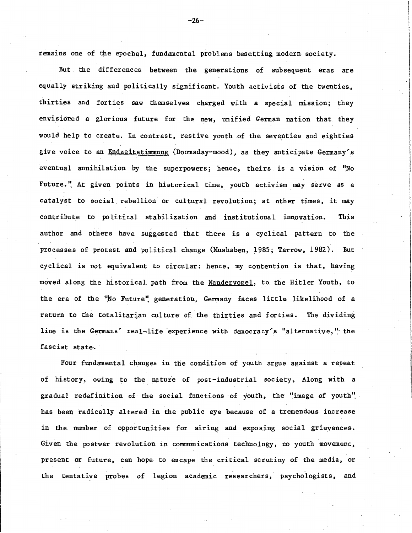remains one of the epochal, fundamental problems besetting modern society.

But the differences between the generations of subsequent eras are equally striking and politically significant. Youth activists of the twenties, thirties and forties saw themselves charged with a special mission; they envisioned a glorious future for the new, unified German nation that they would help to create. In contrast, restive youth of the seventies and eighties give voice to an Endzeitstimmung (Doomsday-mood), as they anticipate Germany's eventual annihilation by the superpowers; hence, theirs is a vision of "No Future." At given points in historical time, youth activism may serve as a catalyst to social rebellion or cultural revolution; at other times, it may contribute to political stabilization and institutional innovation. This author and others have suggested that there is a cyclical pattern to the processes of protest and political change (Mushaben, 1985; Tarrow, 1982). But cyclical is not equivalent to circular: hence, my contention is that, having moved along the historical.. path from the Wandervogel, to the Hitler Youth, to the era of the "No Future" generation, Germany faces little likelihood of a return to the totalitarian culture of the thirties and forties. The dividing line is the Germans' real-life experience with democracy's "alternative," the fascist state.

Four fundamental changes in the condition of youth argue against a repeat of history, owing to the nature of post-industrial society. Along with a gradual redefinition of the social functions of youth, the "image of youth". has been radically altered in the public eye because of a tremendous increase in the. number of opportunities for airing and exposing social grievances. Given the postwar revolution in communications technology, no youth movement, present or future, can hope to escape the critical scrutiny of the media, or the tentative probes of legion academic researchers, psychologists, and

 $-26-$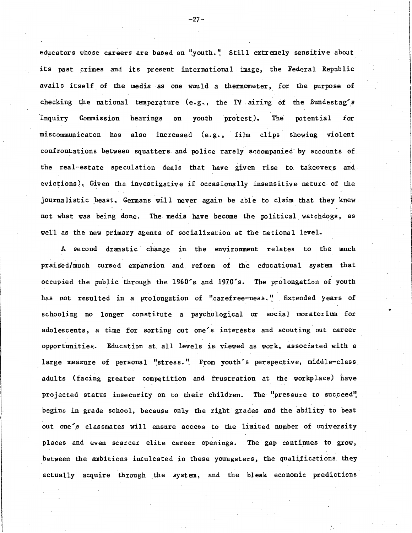educators whose careers are based on "youth." Still extremely sensitive about its past crimes and its present international image, the Federal Republic avails itself of the media as one would a thermometer, for the purpose of checking the national temperature (e.g., the TV airing of the Bundestag's Inquiry Commission hearings on youth protest). The potential for miscommunicaton has also· increased (e.g., film clips showing violent confrontations between squatters- and police rarely accompanied· by accounts of the real-estate speculation deals that have given rise to takeovers and evictions). Given the investigative if occasionally insensitive nature of the journalistic beast, Germans will never again be able to claim that they knew not what was- being done. The media have become the political watchdogs, as well as the new primary agents of socialization at the national level.

A second dramatic change in the environment relates to the much praised/much cursed expansion and reform of the educational system that occupied the public through the 1960's and 1970's. The prolongation of youth has not resulted in a prolongation of "carefree-ness." Extended years of schooling no longer constitute a psychological or social moratorium for adolescents, a time for sorting out one's interests and scouting out career opportunities. Education at all levels is viewed as work, associated with a large measure of personal "stress." From youth's perspective, middle-class adults (facing greater competition and . frustration at the workplace) have projected status insecurity on to their children. The "pressure to succeed" begins in grade school, because only the right grades and the ability to beat out one's classmates will ensure access to the limited number of university places and even scarcer elite career openings. The gap continues to grow, between the ambitions inculcated in these youngsters, the qualifications they actually acquire through the system, and the bleak economic predictions

,.

 $-27-$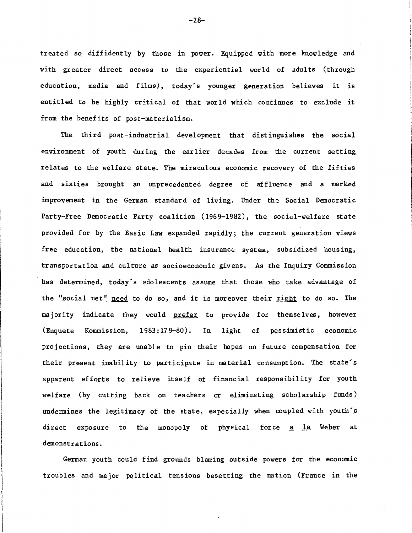treated so diffidently by those in power. Equipped with more knowledge and with greater direct access to the experiential world of adults (through education, media and films), today's younger generation believes it is entitled to be highly critical of that world which continues to exclude it from the benefits of post-materialism.

The third post-industrial development that distinguishes the social environment of youth during the earlier decades from the current setting relates to the welfare state. The miraculous economic recovery of the fifties and sixties brought an unprecedented degree of affluence and a marked improvement in the German standard of living. Under the Social Democratic Party-Free Democratic Party coalition (1969-1982), the social-welfare state provided for by the Basic Law expanded rapidly; the current generation views free education, the national health insurance system, subsidized housing, transportation and culture as socioeconomic givens. As the Inquiry Commission has determined, today's adolescents assume that those who take advantage of the "social net" need to do so, and it is moreover their right to do so. The majority indicate they would <u>prefer</u> to provide for themselves, however (Enquete Kommission, 1983:179-80). In light of pessimistic economic projections, they are unable to pin their hopes on future compensation for their present inability to participate in material consumption. The state<sup>6</sup>s apparent efforts to relieve itself of financial responsibility for youth welfare (by cutting back on teachers or eliminating scholarship funds) undermines the legitimacy of the state, especially when coupled with youth's direct exposure to the monopoly of physical force  $a$  la Weber at demonstrations.

German youth could find grounds blaming outside powers for the economic troubles and major political tensions besetting the nation (France in the

-28-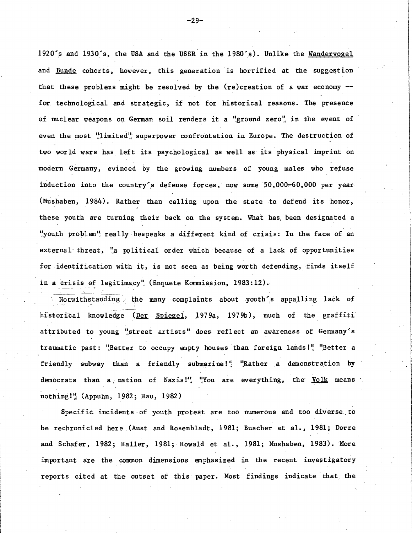1920's and 1930's, the USA and the USSR in the 1980's). Unlike the Wandervogel and Bunde cohorts, however, this generation is horrified at the suggestion that these problems might be resolved by the  $(re)$  creation of a war economy  $$ for technological and strategic, if not for historical reasons. The presence of nuclear weapons on German soil renders it a "ground zero", in the event of even the most "limited" superpower confrontation in Europe. The destruction of two world wars has left its psychological as well as its physical imprint on modern Germany, evinced by the growing numbers of young males who refuse induction into the country's defense forces, now some 50,000-60,000 per year (Mushaben, 1984). Rather than calling upon the state to defend its honor, these youth are turning their back on the system. What has been designated a "youth problem" really bespeaks a different kind of crisis: In the face of an external threat, "a political order which because of a lack of opportunities for identification with it, is not seen as being worth defending, finds itself in a crisis of legitimacy" (Enquete Kommission, 1983:12).

Notwithstanding . the many complaints about youth's appalling lack of historical knowledge (Der Spiegel, 1979a, 1979b), much of the graffiti attributed to young "street artists" does reflect an awareness of Germany's traumatic past: "Better to occupy empty houses than foreign lands!" "Better a friendly subway than a friendly submarine!" "Rather a demonstration by democrats than a nation of Nazis!" "You are everything, the Volk means nothing!" (Appuhn, 1982; Hau, 1982)

Specific incidents of youth protest are too numerous and too diverse to be rechronicled here (Aust and Rosenbladt, 1981; Buscher et al., 1981; Dorre and Schafer, 1982; Haller, 1981; Rowald et al., 1981; Mushaben, 1983). More important are the common dimensions emphasized in the recent investigatory reports cited at the outset of this paper. Most findings indicate that the

-29-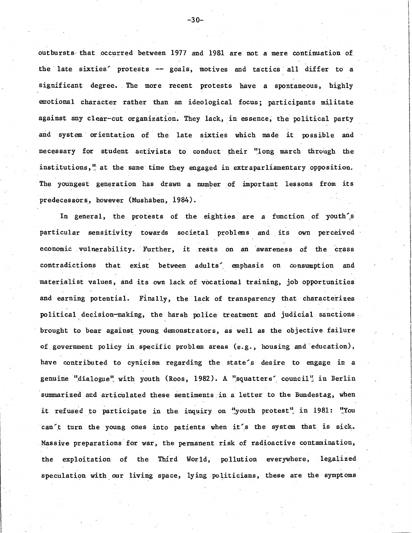outbursts that occurred between 1977 and 1981 are not a mere continuation of the late sixties' protests -- goals, motives and tactics all differ to a significant degree. The more recent protests have a spontaneous, highly emotional character rather than an ideological focus; participants militateagainst any clear-cut organization. They lack, in essence, the political party and system· orientation of the late sixties which made it possible and necessary for student activists to conduct their "long march through the institutions, $\frac{u}{n}$  at the same time they engaged in extraparliamentary opposition. The youngest generation has drawn a number of important lessons from its predecessors, however (Mushaben, 1984).

In general, the protests of the eighties are a function of youth's particular sensitivity towards societal problems and its own perceived economic vulnerability. Further, it rests on an awareness of the crass contradictions that exist between adults', emphasis on consumption and materialist values, and its own lack of vocational training, job opportunities and earning potential. Finally, the lack of transparency that characterizes political, decision-making, the harsh police- treatment and judicial sanctions . brought to bear against young demonstrators, as well as the objective failure of government policy in specific problem areas (e.g., housing and education), have contributed to cynicism regarding the state's desire to engage in a genuine "dialogue" with youth (Roos, 1982). A "squatters' council" in Berlin summarized and articulated these sentiments in a letter to the Bundestag, when it refused to participate in the inquiry on "youth protest" in 1981: "You can't turn the young ones into patients when it's the system that is sick. Massive preparations for war, the permanent risk of radioactive contamination, the exploitation of the Third World, pollution everywhere, legalized speculation with our living space, lying politicians, these are the symptoms

 $-30-$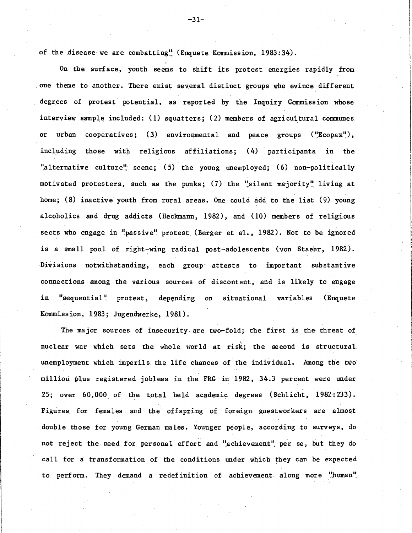of the disease we are combatting<sup>"</sup> (Enquete Kommission, 1983:34).

On the surface, youth seems to shift its protest. energies rapidly from . one theme to another. There exist several distinct groups who evince different degrees of protest potential, as reported by the Inquiry Commission whose interview sample included: (1) squatters; (2) members of agricultural communes. or urban cooperatives; (3) environmental and peace groups ("Ecopax"), including those with religious affiliations; (4) participants in the. "alternative culture" scene; (5) the young unemployed; (6) non-politically motivated protesters, such as the punks; (7) the "silent majority" living at home; (8) inactive youth from rural areas. One could add to the list (9) young alcoholics and drug addicts (Heckmann, 1982), and ( 10) members of religious sects who engage in "passive" protest (Berger et al., 1982). Not to be ignored is a small pool of right-wing radical post-adolescents (von Staehr, 1982). Divisions notwithstanding, each group . attests to important substantive connections among the various sources of discontent, and is likely to engage in "sequential" protest, depending on situational variables (Enquete Kommission, 1983; Jugendwerke, 1981).

The major sources of insecurity are two-fold; the first is the threat of nuclear war which sets the whole world at risk; the second is structural unemployment which imperils the life chances of the individual. Among the two million plus registered jobless in the FRG in 1982, 34.3 percent were under 25; over 60,000 of the total held academic degrees (Schlicht, 1982:233). Figures for females and the off spring of foreign guestworkers are almost . double· those for young German males. Younger people, according to surveys, do not reject the need for personal effort and "achievement" per se, but they do call for a transformation of the conditions under which they can be expected to perform. They demand a redefinition of achievement along more "human"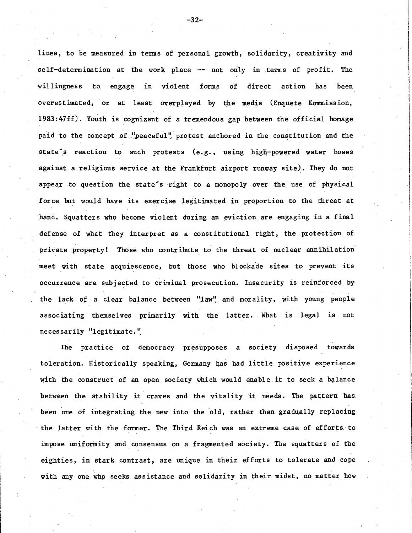lines, to be measured in terms of personal growth, solidarity, creativity and self-determination at the work place -- not only in terms of profit. The willingness to engage in violent forms of direct action has been overestimated, or at least overplayed by the media (Enquete Kommission,  $1983:47ff$ ). Youth is cognizant of a tremendous gap between the official homage paid to the concept of  $\frac{1!}{1!}$  peaceful" protest anchored in the constitution and the state's reaction to such protests (e.g., using high-powered water hoses against a religious service at the Frankfurt airport runway site). They do not appear to question the state's right to a monopoly over the use of physical force but would have its exercise legitimated in proportion to the threat at hand. Squatters who become violent during an eviction are engaging in a final defense of what they interpret as a constitutional right, the protection of private property! Those who contribute to the threat of nuclear annihilation meet with state acquiescence, but those who blockade sites to prevent its occurrence are subjected to criminal prosecution. Insecurity is reinforced by the lack of a clear balance between "law" and morality, with young people associating themselves primarily with the latter. What is legal is not necessarily "legitimate."

The practice of democracy presupposes a society disposed towards toleration. Historically speaking, Germany has had little positive experience with the construct of an open society which would enable it to seek a balance between the stability it craves and the vitality it needs. The pattern has been one of integrating the new into the old, rather than gradually replacing the latter with. the former. The Third Reich was an: extreme case of efforts to impose uniformity and consensus on a fragmented society. The squatters of the eighties, in stark contrast, are nnique in their efforts to tolerate and cope with any one who seeks assistance and solidarity in their midst, no matter how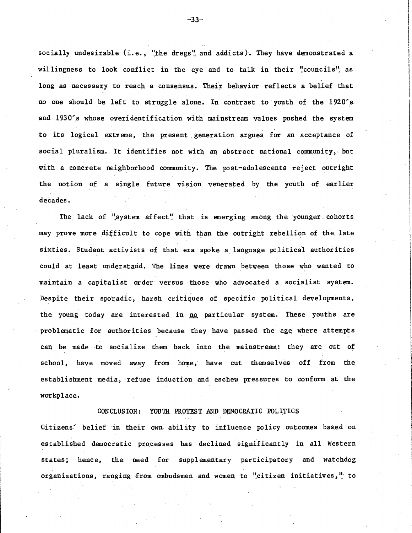socially undesirable (i.e., "the dregs" and addicts). They have demonstrated a willingness to look conflict in the eye and to talk in their "councils", as long as necessary to reach a consensus. Their behavior reflects a belief that no one should be left to struggle alone. In contrast to youth of the 1920's. and 1930's whose overidentification with mainstream values pushed the system to its logical extreme, the present generation argues for an acceptance of social pluralism. It identifies not with an abstract national community, but with a concrete neighborhood community. The post-adolescents reject outright the notion of a single future vision venerated by the youth of earlier decades.

The lack of "system affect" that is emerging among the younger cohorts. may prove more difficult to cope with than the outright rebellion of the. late sixties. Student activists of that era spoke a language political authorities could at least understand. The lines were drawn between those who wanted to maintain a capitalist order versus those who advocated a socialist system. Despite their sporadic, harsh critiques of specific political developments, the young today are interested in no particular system. These youths are problematic for authorities because they have passed the age where attempts can be made to socialize them back into the mainstream: they are out of school, have moved away from home, have cut themselves off from the establishment media, refuse induction and eschew pressures to conform at the workplace.

CONCLUSION: YOUTH PROTEST AND DEMOCRATIC POLITICS

Citizens' belief in their own ability to influence policy outcomes based on established democratic processes has declined significantly in all Western states; hence, the need for supplementary participatory and watchdog organizations, ranging from ombudsmen and women to "citizen initiatives," to

-33-

l I !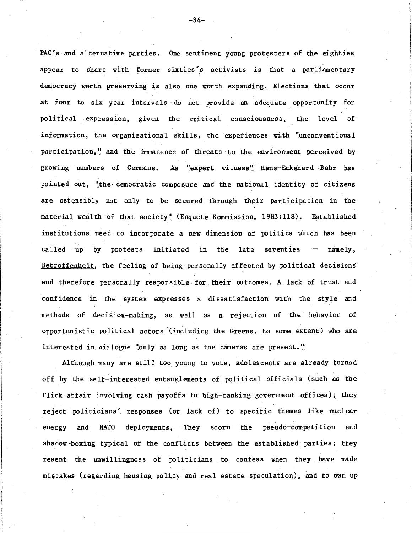PAC's and alternative parties. One sentiment young protesters of the eighties appear to share with former sixties's activists is that a parliamentary democracy worth preserving is also one worth expanding. Elections that occur at four to six year intervals do not provide an adequate opportunity for political expression, given the critical consciousness, the level of information, the organizational skills, the experiences with "unconventional participation," and the immanence of threats to the environment perceived by growing numbers of Germans. As "expert witness" Hans-Eckehard Bahr has pointed out, "the democratic composure and the national identity of citizens are ostensibly not only to be secured through their participation in the material wealth of that society" (Enquete Kommission, 1983:118). Established institutions need to incorporate a new dimension of politics which has been called up by protests initiated in the late seventies  $-$  namely, Betroffenheit, the feeling of being personally affected by political decisions and therefore personally responsible for. their outcomes. A. lack of trust and confidence in the system expresses a dissatisfaction with the style and methods of decision-making, as. well as a rejection of the behavior of opportunistic political actors (including the Greens, to some extent) who are interested in dialogue "only as long as the cameras are present."

Although many are still too young to vote, adolescents are already turned off by the self-interested entanglements of political officials (such as the Flick affair involving cash payoffs to high-ranking government offices); they reject politicians' responses (or lack of) to specific themes like nuclear energy and NATO deployments. They scorn the pseudo-competition and shadow-boxing typical of the conflicts between the established parties; they resent the unwillingness of politicians to confess when they have made mistakes (regarding housing policy and real estate speculation), and to own up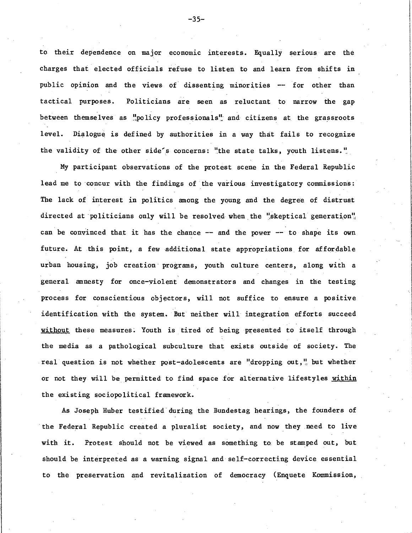to their dependence on major economic interests. Equally serious are the charges that elected officials refuse to listen to and learn from shifts in public opinion and the views of dissenting minorities -- for other than tactical purposes. Politicians are seen as reluctant to narrow the gap between themselves as "policy professionals" and citizens at the grassroots level. Dialogue is defined by authorities in a way that fails to recognize the validity of the other side's concerns: "the state talks, youth listens."

My participant observations of the protest scene in the Federal Republic lead me to concur with the findings of the various investigatory commissions: The lack of interest in politics among the young and the degree of distrust directed at politicians only will be resolved when the "skeptical generation". can be convinced that it has the chance  $-$  and the power  $-$  to shape its own future. At this point, a few additional state appropriations for affordable urban housing, job creation· programs, youth culture centers, along with a general amnesty for once-violent demonstrators and changes in the testing process for conscientious objectors, will not suffice to ensure a positive identification with the system. But neither will integration efforts succeed without these measures. Youth is tired of being presented to itself through the media as a pathological subculture that exists outside of society. The real question is not whether post-adolescents are "dropping out," but whether or not they will be permitted to find space for alternative lifestyles within the existing sociopolitical framework.

As Joseph Huber testified during the Bundestag hearings, the founders of the Federal Republic created a pluralist society, and now they need to live with it. Protest should not be viewed as something to be stamped out, but should be interpreted as a warning signal and self-correcting device essential to the preservation and revitalization of democracy (Enquete Kommission,

 $-35-$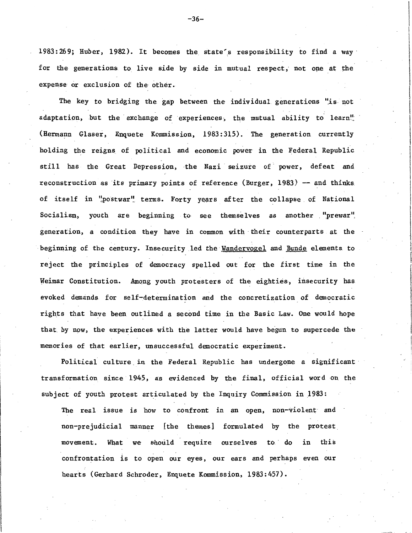1983:269; Huber, 1982). It becomes the state's responsibility to find a way for the generations to live side by side in mutual respect, not one at the expense or exclusion of the other.

The key to bridging the gap between the individual generations "is not adaptation, but the exchange of experiences, the mutual ability to learn<sup>"</sup> (Hermann Glaser, Enquete Kommission, 1983:315). The generation currently holding the reigns of political and economic power in the Federal Republic still has the Great Depression, the Nazi seizure of power, defeat and reconstruction as its primary points of reference (Burger, 1983) -- and thinks of itself in "postwar" terms. Forty years after the collapse of National Socialism, youth are beginning to see themselves as another "prewar" generation, a condition they have in common with their counterparts at the beginning of the century. Insecurity led the Wandervogel and Bunde elements to reject the principles of democracy spelled out for the first time in the Weimar Constitution. Among youth protesters of the eighties, insecurity has evoked demands for self-determination and the concretization of democratic rights that have been outlined a second time in the Basic Law. One would hope that by now, the experiences with the latter would have begun to supercede the memories of that earlier, unsuccessful democratic experiment.

Political culture in the Federal Republic has undergone a significant transformation since 1945, as evidenced by the final, official word on the subject of youth protest articulated by the Inquiry Commission in 1983:

The real issue is how to confront in an open, non-violent and non-prejudicial manner [the themes] formulated by the protest movement. What we should require ourselves to do in this confrontation is to open our eyes, our ears and perhaps even our hearts (Gerhard Schroder, Enquete Kommission, 1983:457).

 $-36-$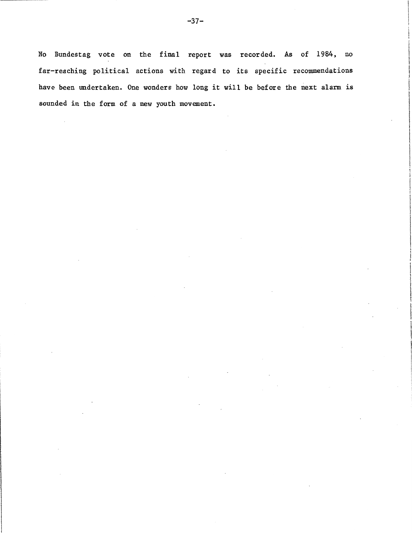No Bundestag vote on the final report was recorded. As of 1984, no far-reaching political actions with regard to its specific recommendations have been undertaken. One wonders how long it will be before the next alarm is sounded in the form of a new youth movement.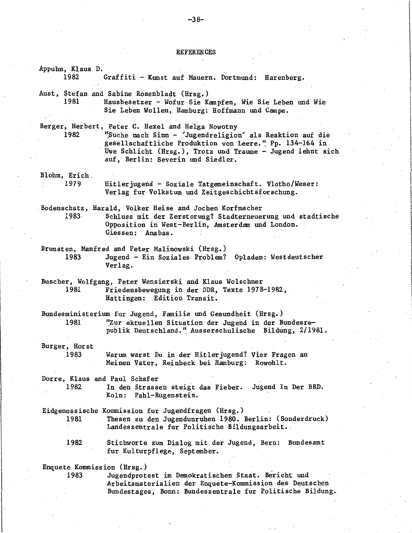REFERENCES

Appuhn, Klaus D. 1982 Graffiti - Kunst auf Mauern. Dortmund: Harenberg. Aust, Stefan and Sabine Rosenbladt (Hrsg.) 1981 Hausbesetzer - Wofur Sie Kampfen, Wie Sie Leben und Wie Sie Leben Wollen, Hamburg: Hoffmann und Campe. Berger, Herbert, Peter C. Hexel and Helga Nowotny 1982 1 'Suche nach Sinn - 'Jugendreligion' als Reaktion auf die gesellschaftliche Produktion von Leere. <sup>u</sup> Pp. 134-164 in Uwe Schlicht (Hrsg.), Trotz und Traume - Jugend lehnt sich auf, Berlin: Severin und Siedler. Blohm, Erich \_ 1979 Hitlerjugend - Soziale Tatgemeinschaft. Vlotho/Weser: Verlag fur -Volkstum und Zeitgeschichtsforschung. .Bodenschatz, Harald, Volker Heise and Jochen Korfmacher 1983, Schluss mit der Zerstorung? Stadterneuerung und stadtische Opposition in West-Berlin, Amsterdam und London. Giessen: Anabas. Brunsten, Manfred and Peter Malinowski (Hrsg.) 1983 Jugend - Ein Soziales Problem? Opladen: Westdeutscher Verlag. Buscher, Wolfgang, Peter Wensierski and Klaus Wolschner 1981 Friedensbewegung-in der DDR, Texte 1978-1982, Hattingen: Edition Transit. Bundesministerium fur Jugend, Familie und Gesundheit (Hrsg.) 1981 1 "Zur aktuellen Situation der Jugend in der Bundesrepublik Deutschland. ''. Ausserschulische Bildung, 2/ 1981. Burger, Horst 1983 Warum warst Du in der Hitlerjugend?\_ Vier Fragen an Meinen Vater, Reinbeck bei Hamburg: Rowohlt. Dorre, Klaus and Paul Schafer 1982 In den Strassen steigt \_das Fieber. Jugend In Der BRD. Koln: Pahl-Rugenstein. Eidgenossische Kommission fur Jugendfragen (Hrsg.) 1981 Thesen zu den Jugendunruhen 1980. Berlin: (Sonderdruck) Landeszentrale fur Politische Bildungsarbeit., 1982 Stichworte zum Dialog mit der Jugend, Bern: Bundesamt fur Kulturpflege, September. Enquete Kommission (Hrsg.) 1983 Jugendprotest\_im Demokratischen Staat. Bericht und Arbeitsmaterialien der Enquete-Kommission des Deutschen Bundestages, Bonn: Bundeszentrale fur Politische Bildung.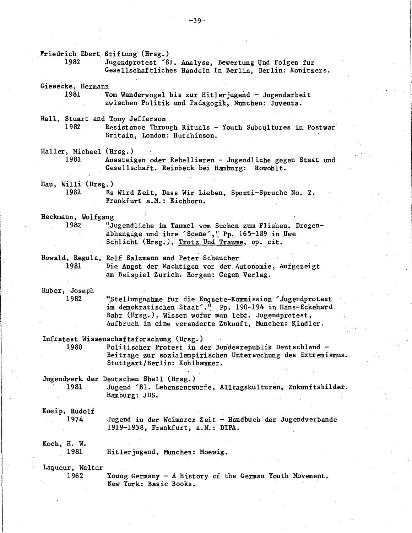Friedrich Ebert Stiftung (Hrsg.)<br>1982 - Jugendprotest Jugendprotest '81. Analyse, Bewertung Und Folgen fur Gesellschaftliches Handeln In Berlin, Berlin: Konitzers. Giesecke, Hermann 1981 Vom Wandervogel bis zur Hitlerjugend - Jugendarbeit zwischen Politik und Padagogik, Munchen: Juventa. Hall, Stuart and Tony Jefferson Resistance Through Rituals - Youth Subcultures in Postwar Britain, London: Hutchinson. Haller, Michael· (Hrsg • .) 1981 Aussteigen oder Rebellieren - Jugendliche gegen Staat und Gesellschaft. Reinbeck bei Hamburg: Rowohlt. Hau, Willi (Hrsg.) 1982 · Es Wird Zeit, Dass Wir Lieben, Sponti-Spruche No. 2. Frankfurt a.M.: Eichhorn. Heckmann, Wolfgang 1982 11, Jugendliche im Taumel vom Suchen zum Fliehen. Drogenabhangige und ihre 'Scene'," Pp. 165-189 in Uwe Schlicht (Hrsg.), Trotz Und Traume, op. cit. Howald, Regula, Rolf Salzmann and Peter Scheucher 1981 Die Angst der Machtigen vor der Autonomie, Aufgezeigt am Beispiel Zurich. Horgen: Gegen Verlag. Huber, Joseph 1982 <sup>1</sup>Stellungnahme fur die Enquete-Kommission Jugendprotest im demokratischen Staat<sup>.."</sup> Pp. 190-194 in Hans-Eckehard Bahr (Hrsg.), Wissen wofur man lebt. Jugendpratest, Aufbruch in eine veranderte Zukunft, Munchen: Kindler. Infratest Wissenschaftsforschung (Hrsg.)<br>1980 - Politischer Protest in der Bundesrepublik Deutschland Beitrage zur sozialempirischen Untersuchung des Extremismus. Stuttgart/Berlin: Kohlhammer. Jugendwerk der Deutschen Shell (Hrsg.) 1981 Jugend 81. Lebensentwurfe, Alltagskulturen, Zukunftsbilder. Kneip, Rudolf 1974 Koch, H. W. 1981 Laqueur, Walter 1962 Hamburg: JDS. Jugend in der Weimarer Zeit - Handbuch der Jugendverbande 1919-1938, Frankfurt, a.M.: DIPA. Hitlerjugend, Munchen: Moewig. Young Germany - A History of the German Youth Movement. New York: Basic Books.